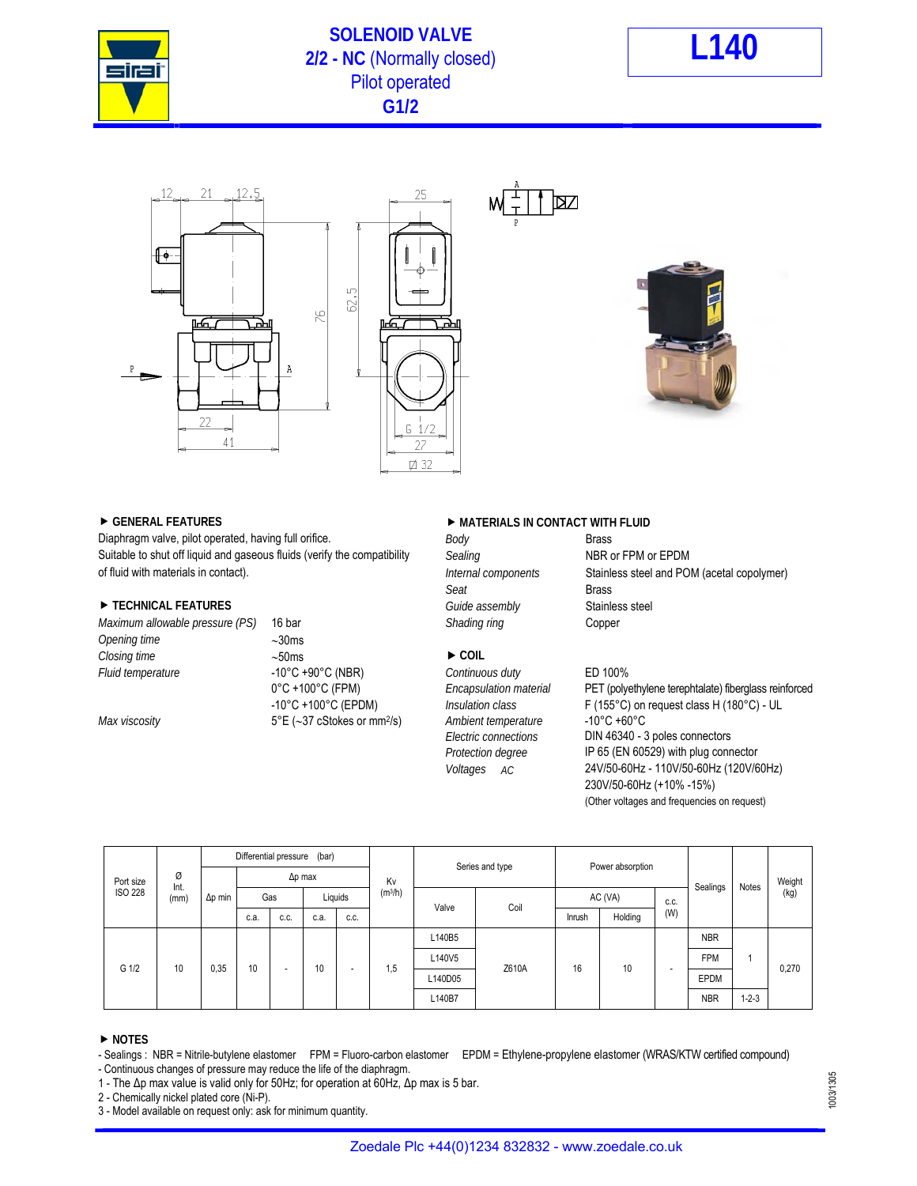

# **SOLENOID VALVE 2/2 - NC** (Normally closed) **L140** Pilot operated **G1/2**









Diaphragm valve, pilot operated, having full orifice. *Body* Body **Body** Brass Brass Brass **Brass** Brass Brass and the compatibility *Sealing* **Brass BRIS** or FPM or EPDM Suitable to shut off liquid and gaseous fluids (verify the compatibility *Sealing* of fluid with materials in contact). *Internal components* Stainless steel and POM (acetal copolymer)

## ▶ TECHNICAL FEATURES *Guide assembly* Stainless steel

*Opening time* 30ms *Closing time* ► 50ms ► COIL *Fluid temperature* -10°C +90°C (NBR) *Continuous duty* ED 100%

*Maximum allowable pressure (PS)* 16 bar *Shading ring* Shading ring **Copper** *Max viscosity* 5°E (37 cStokes or mm2/s) *Ambient temperature* -10°C +60°C

# ▶ GENERAL FEATURES **ARE IN CONTACT WITH FLUID**

DZ

**Seat Brass** Seat Brass

# 0°C +100°C (FPM) *Encapsulation material* PET (polyethylene terephtalate) fiberglass reinforced -10°C +100°C (EPDM) *Insulation class* F (155°C) on request class H (180°C) - UL *Electric connections* DIN 46340 - 3 poles connectors *Protection degree* IP 65 (EN 60529) with plug connector *Voltages AC* 24V/50-60Hz - 110V/50-60Hz (120V/60Hz) 230V/50-60Hz (+10% -15%) (Other voltages and frequencies on request)

| Port size<br><b>ISO 228</b> | Ø<br>Int.<br>(mm) | Differential pressure<br>(bar) |                |                          |         |                          | Kv                  | Series and type |       | Power absorption |         |                          | Sealings   |             | Weight |
|-----------------------------|-------------------|--------------------------------|----------------|--------------------------|---------|--------------------------|---------------------|-----------------|-------|------------------|---------|--------------------------|------------|-------------|--------|
|                             |                   | $\Delta p$ min                 | $\Delta p$ max |                          |         |                          |                     |                 |       |                  |         |                          |            |             |        |
|                             |                   |                                | Gas            |                          | Liquids |                          | (m <sup>3</sup> /h) | Valve           | Coil  | AC (VA)          |         | C.C.                     |            | Notes       | (kg)   |
|                             |                   |                                | c.a.           | C.C.                     | c.a.    | C.C.                     |                     |                 |       | Inrush           | Holding | (W)                      |            |             |        |
| G 1/2                       | 10                | 0,35                           | 10             | $\overline{\phantom{a}}$ | 10      | $\overline{\phantom{a}}$ | 1,5                 | L140B5          | Z610A | 16               | 10      | $\overline{\phantom{0}}$ | <b>NBR</b> |             | 0,270  |
|                             |                   |                                |                |                          |         |                          |                     | L140V5          |       |                  |         |                          | <b>FPM</b> |             |        |
|                             |                   |                                |                |                          |         |                          |                     | L140D05         |       |                  |         |                          | EPDM       |             |        |
|                             |                   |                                |                |                          |         |                          |                     | L140B7          |       |                  |         |                          | <b>NBR</b> | $1 - 2 - 3$ |        |

### **NOTES**

1 - The Δp max value is valid only for 50Hz; for operation at 60Hz, Δp max is 5 bar.

2 - Chemically nickel plated core (Ni-P).

3 - Model available on request only: ask for minimum quantity.

1003/1305

<sup>-</sup> Sealings : NBR = Nitrile-butylene elastomer FPM = Fluoro-carbon elastomer EPDM = Ethylene-propylene elastomer (WRAS/KTW certified compound) - Continuous changes of pressure may reduce the life of the diaphragm.